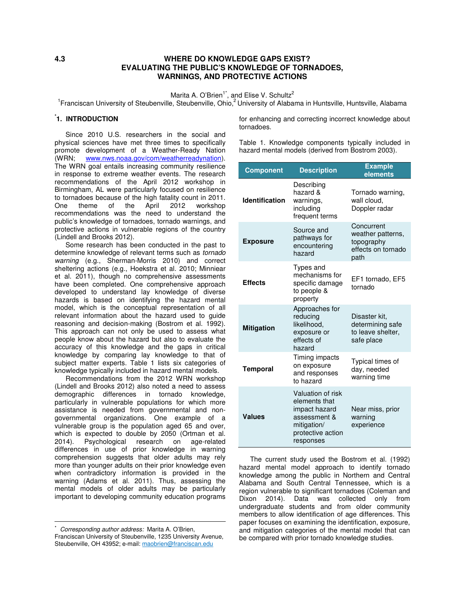# **4.3 WHERE DO KNOWLEDGE GAPS EXIST? EVALUATING THE PUBLIC'S KNOWLEDGE OF TORNADOES, WARNINGS, AND PROTECTIVE ACTIONS**

Marita A. O'Brien<sup>1\*</sup>, and Elise V. Schultz<sup>2</sup>

<sup>1</sup> Franciscan University of Steubenville, Steubenville, Ohio,<sup>2</sup> University of Alabama in Huntsville, Huntsville, Alabama

# **\* 1. INTRODUCTION**

Since 2010 U.S. researchers in the social and physical sciences have met three times to specifically promote development of a Weather-Ready Nation (WRN; www.nws.noaa.gov/com/weatherreadynation). The WRN goal entails increasing community resilience in response to extreme weather events. The research recommendations of the April 2012 workshop in Birmingham, AL were particularly focused on resilience to tornadoes because of the high fatality count in 2011. One theme of the April 2012 workshop recommendations was the need to understand the public's knowledge of tornadoes, tornado warnings, and protective actions in vulnerable regions of the country (Lindell and Brooks 2012).

Some research has been conducted in the past to determine knowledge of relevant terms such as *tornado warning* (e.g., Sherman-Morris 2010) and correct sheltering actions (e.g., Hoekstra et al. 2010; Minniear et al. 2011), though no comprehensive assessments have been completed. One comprehensive approach developed to understand lay knowledge of diverse hazards is based on identifying the hazard mental model, which is the conceptual representation of all relevant information about the hazard used to guide reasoning and decision-making (Bostrom et al. 1992). This approach can not only be used to assess what people know about the hazard but also to evaluate the accuracy of this knowledge and the gaps in critical knowledge by comparing lay knowledge to that of subject matter experts. Table 1 lists six categories of knowledge typically included in hazard mental models.

Recommendations from the 2012 WRN workshop (Lindell and Brooks 2012) also noted a need to assess demographic differences in tornado knowledge, particularly in vulnerable populations for which more assistance is needed from governmental and nongovernmental organizations. One example of a vulnerable group is the population aged 65 and over, which is expected to double by 2050 (Ortman et al. 2014). Psychological research on age-related differences in use of prior knowledge in warning comprehension suggests that older adults may rely more than younger adults on their prior knowledge even when contradictory information is provided in the warning (Adams et al. 2011). Thus, assessing the mental models of older adults may be particularly important to developing community education programs

<u>.</u>

for enhancing and correcting incorrect knowledge about tornadoes.

Table 1. Knowledge components typically included in hazard mental models (derived from Bostrom 2003).

| <b>Component</b>      | <b>Description</b>                                                                                                   | <b>Example</b><br>elements                                                  |  |  |  |  |
|-----------------------|----------------------------------------------------------------------------------------------------------------------|-----------------------------------------------------------------------------|--|--|--|--|
| <b>Identification</b> | Describing<br>hazard &<br>warnings,<br>including<br>frequent terms                                                   | Tornado warning,<br>wall cloud,<br>Doppler radar                            |  |  |  |  |
| <b>Exposure</b>       | Source and<br>pathways for<br>encountering<br>hazard                                                                 | Concurrent<br>weather patterns,<br>topography<br>effects on tornado<br>path |  |  |  |  |
| <b>Effects</b>        | Types and<br>mechanisms for<br>specific damage<br>to people &<br>property                                            | EF1 tornado, EF5<br>tornado                                                 |  |  |  |  |
| <b>Mitigation</b>     | Approaches for<br>reducing<br>likelihood,<br>exposure or<br>effects of<br>hazard                                     | Disaster kit,<br>determining safe<br>to leave shelter,<br>safe place        |  |  |  |  |
| <b>Temporal</b>       | Timing impacts<br>on exposure<br>and responses<br>to hazard                                                          | Typical times of<br>day, needed<br>warning time                             |  |  |  |  |
| <b>Values</b>         | Valuation of risk<br>elements that<br>impact hazard<br>assessment &<br>mitigation/<br>protective action<br>responses | Near miss, prior<br>warning<br>experience                                   |  |  |  |  |

The current study used the Bostrom et al. (1992) hazard mental model approach to identify tornado knowledge among the public in Northern and Central Alabama and South Central Tennessee, which is a region vulnerable to significant tornadoes (Coleman and Dixon 2014). Data was collected only from undergraduate students and from older community members to allow identification of age differences. This paper focuses on examining the identification, exposure, and mitigation categories of the mental model that can be compared with prior tornado knowledge studies.

<sup>\*</sup> *Corresponding author address:* Marita A. O'Brien, Franciscan University of Steubenville, 1235 University Avenue, Steubenville, OH 43952; e-mail: maobrien@franciscan.edu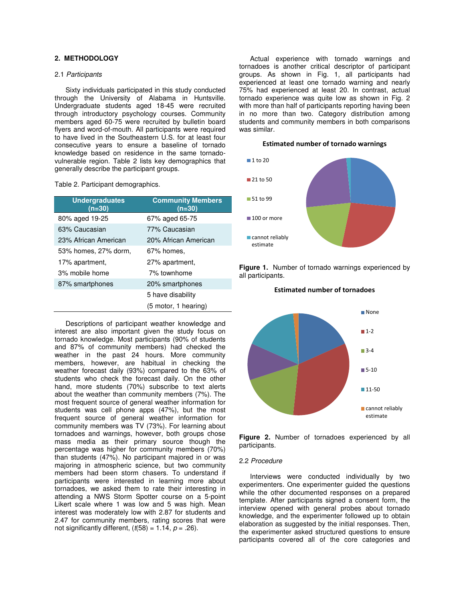# **2. METHODOLOGY**

# 2.1 *Participants*

Sixty individuals participated in this study conducted through the University of Alabama in Huntsville. Undergraduate students aged 18-45 were recruited through introductory psychology courses. Community members aged 60-75 were recruited by bulletin board flyers and word-of-mouth. All participants were required to have lived in the Southeastern U.S. for at least four consecutive years to ensure a baseline of tornado knowledge based on residence in the same tornadovulnerable region. Table 2 lists key demographics that generally describe the participant groups.

Table 2. Participant demographics.

| <b>Undergraduates</b><br>(n=30) | <b>Community Members</b><br>(n=30) |
|---------------------------------|------------------------------------|
| 80% aged 19-25                  | 67% aged 65-75                     |
| 63% Caucasian                   | 77% Caucasian                      |
| 23% African American            | 20% African American               |
| 53% homes, 27% dorm,            | 67% homes,                         |
| 17% apartment,                  | 27% apartment,                     |
| 3% mobile home                  | 7% townhome                        |
| 87% smartphones                 | 20% smartphones                    |
|                                 | 5 have disability                  |
|                                 | (5 motor, 1 hearing)               |

Descriptions of participant weather knowledge and interest are also important given the study focus on tornado knowledge. Most participants (90% of students and 87% of community members) had checked the weather in the past 24 hours. More community members, however, are habitual in checking the weather forecast daily (93%) compared to the 63% of students who check the forecast daily. On the other hand, more students (70%) subscribe to text alerts about the weather than community members (7%). The most frequent source of general weather information for students was cell phone apps (47%), but the most frequent source of general weather information for community members was TV (73%). For learning about tornadoes and warnings, however, both groups chose mass media as their primary source though the percentage was higher for community members (70%) than students (47%). No participant majored in or was majoring in atmospheric science, but two community members had been storm chasers. To understand if participants were interested in learning more about tornadoes, we asked them to rate their interesting in attending a NWS Storm Spotter course on a 5-point Likert scale where 1 was low and 5 was high. Mean interest was moderately low with 2.87 for students and 2.47 for community members, rating scores that were not significantly different,  $(t(58) = 1.14, p = .26)$ .

Actual experience with tornado warnings and tornadoes is another critical descriptor of participant groups. As shown in Fig. 1, all participants had experienced at least one tornado warning and nearly 75% had experienced at least 20. In contrast, actual tornado experience was quite low as shown in Fig. 2 with more than half of participants reporting having been in no more than two. Category distribution among students and community members in both comparisons was similar.

#### **Estimated number of tornado warnings**



**Figure 1.** Number of tornado warnings experienced by all participants.



**Estimated number of tornadoes**

**Figure 2.** Number of tornadoes experienced by all participants.

#### 2.2 *Procedure*

Interviews were conducted individually by two experimenters. One experimenter guided the questions while the other documented responses on a prepared template. After participants signed a consent form, the interview opened with general probes about tornado knowledge, and the experimenter followed up to obtain elaboration as suggested by the initial responses. Then, the experimenter asked structured questions to ensure participants covered all of the core categories and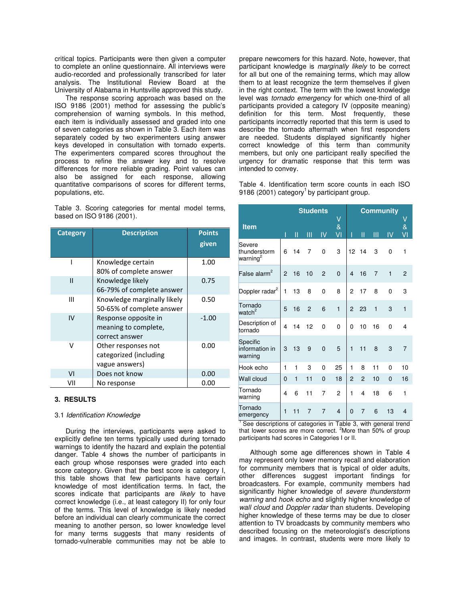critical topics. Participants were then given a computer to complete an online questionnaire. All interviews were audio-recorded and professionally transcribed for later analysis. The Institutional Review Board at the University of Alabama in Huntsville approved this study.

The response scoring approach was based on the ISO 9186 (2001) method for assessing the public's comprehension of warning symbols. In this method, each item is individually assessed and graded into one of seven categories as shown in Table 3. Each item was separately coded by two experimenters using answer keys developed in consultation with tornado experts. The experimenters compared scores throughout the process to refine the answer key and to resolve differences for more reliable grading. Point values can also be assigned for each response, allowing quantitative comparisons of scores for different terms, populations, etc.

Table 3. Scoring categories for mental model terms, based on ISO 9186 (2001).

| <b>Category</b> | <b>Description</b>                                              | <b>Points</b><br>given |  |
|-----------------|-----------------------------------------------------------------|------------------------|--|
|                 | Knowledge certain<br>80% of complete answer                     | 1.00                   |  |
| $\mathsf{II}$   | Knowledge likely<br>66-79% of complete answer                   | 0.75                   |  |
| Ш               | Knowledge marginally likely<br>50-65% of complete answer        | 0.50                   |  |
| IV              | Response opposite in<br>meaning to complete,<br>correct answer  | $-1.00$                |  |
| v               | Other responses not<br>categorized (including<br>vague answers) | 0.00                   |  |
| VI              | Does not know                                                   | 0.00                   |  |
| VII             | No response                                                     | 0.00                   |  |

## **3. RESULTS**

# 3.1 *Identification Knowledge*

During the interviews, participants were asked to explicitly define ten terms typically used during tornado warnings to identify the hazard and explain the potential danger. Table 4 shows the number of participants in each group whose responses were graded into each score category. Given that the best score is category I, this table shows that few participants have certain knowledge of most identification terms. In fact, the scores indicate that participants are *likely* to have correct knowledge (i.e., at least category II) for only four of the terms. This level of knowledge is likely needed before an individual can clearly communicate the correct meaning to another person, so lower knowledge level for many terms suggests that many residents of tornado-vulnerable communities may not be able to

prepare newcomers for this hazard. Note, however, that participant knowledge is *marginally likely* to be correct for all but one of the remaining terms, which may allow them to at least recognize the term themselves if given in the right context. The term with the lowest knowledge level was *tornado emergency* for which one-third of all participants provided a category IV (opposite meaning) definition for this term*.* Most frequently, these participants incorrectly reported that this term is used to describe the tornado aftermath when first responders are needed. Students displayed significantly higher correct knowledge of this term than community members, but only one participant really specified the urgency for dramatic response that this term was intended to convey.

Table 4. Identification term score counts in each ISO 9186 (2001) category<sup>1</sup> by participant group.

|                                                | <b>Students</b> |    |                | <b>Community</b><br>V |                 |                         |                |                |              |                |
|------------------------------------------------|-----------------|----|----------------|-----------------------|-----------------|-------------------------|----------------|----------------|--------------|----------------|
| <b>Item</b>                                    | I               | П  | Ш              | IV                    | V<br>$\&$<br>VI | I                       | II             | Ш              | IV           | $\&$<br>VI     |
| Severe<br>thunderstorm<br>warning <sup>2</sup> | 6               | 14 | 7              | 0                     | 3               | 12 <sup>2</sup>         | 14             | 3              | 0            | 1              |
| False alarm <sup>2</sup>                       | $\overline{2}$  | 16 | 10             | $\overline{2}$        | $\overline{0}$  | $\overline{\mathbf{4}}$ | 16             | $\overline{7}$ | $\mathbf{1}$ | $\mathfrak{p}$ |
| Doppler radar <sup>2</sup>                     | 1               | 13 | 8              | 0                     | 8               | $\overline{2}$          | 17             | 8              | 0            | 3              |
| Tornado<br>watch <sup>2</sup>                  | 5               | 16 | $\overline{2}$ | 6                     | $\mathbf{1}$    | $\overline{2}$          | 23             | $\mathbf{1}$   | 3            | $\mathbf{1}$   |
| Description of<br>tornado                      | 4               | 14 | 12             | 0                     | 0               | 0                       | 10             | 16             | 0            | 4              |
| Specific<br>information in<br>warning          | 3               | 13 | 9              | $\overline{0}$        | 5               | $\mathbf{1}$            | 11             | 8              | 3            | $\overline{7}$ |
| Hook echo                                      | 1               | 1  | 3              | $\Omega$              | 25              | 1                       | 8              | 11             | 0            | 10             |
| <b>Wall cloud</b>                              | 0               | 1  | 11             | 0                     | 18              | $\overline{c}$          | $\overline{c}$ | 10             | $\Omega$     | 16             |
| Tornado<br>warning                             | 4               | 6  | 11             | 7                     | $\overline{c}$  | 1                       | 4              | 18             | 6            | $\mathbf{1}$   |
| Tornado<br>emergency                           | $\mathbf{1}$    | 11 | $\overline{7}$ | $\overline{7}$        | 4               | $\Omega$                | 7              | 6              | 13           | 4              |

<sup>1</sup> See descriptions of categories in Table 3, with general trend that lower scores are more correct.  $2^{\circ}$ More than 50% of group participants had scores in Categories I or II.

Although some age differences shown in Table 4 may represent only lower memory recall and elaboration for community members that is typical of older adults, other differences suggest important findings for broadcasters. For example, community members had significantly higher knowledge of *severe thunderstorm warning* and *hook echo* and slightly higher knowledge of *wall cloud* and *Doppler radar* than students. Developing higher knowledge of these terms may be due to closer attention to TV broadcasts by community members who described focusing on the meteorologist's descriptions and images. In contrast, students were more likely to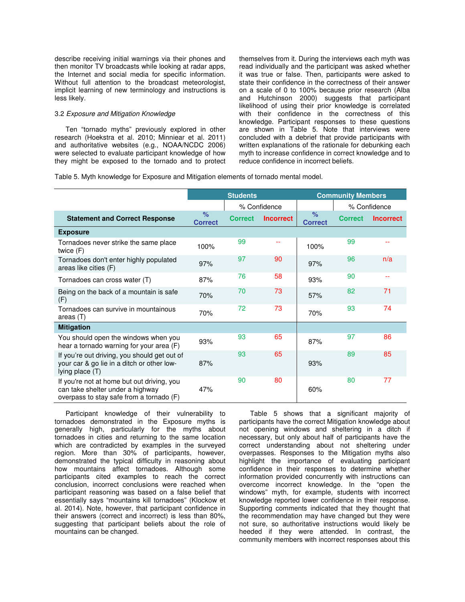describe receiving initial warnings via their phones and then monitor TV broadcasts while looking at radar apps, the Internet and social media for specific information. Without full attention to the broadcast meteorologist, implicit learning of new terminology and instructions is less likely.

#### 3.2 *Exposure and Mitigation Knowledge*

Ten "tornado myths" previously explored in other research (Hoekstra et al. 2010; Minniear et al. 2011) and authoritative websites (e.g., NOAA/NCDC 2006) were selected to evaluate participant knowledge of how they might be exposed to the tornado and to protect themselves from it. During the interviews each myth was read individually and the participant was asked whether it was true or false. Then, participants were asked to state their confidence in the correctness of their answer on a scale of 0 to 100% because prior research (Alba and Hutchinson 2000) suggests that participant likelihood of using their prior knowledge is correlated with their confidence in the correctness of this knowledge. Participant responses to these questions are shown in Table 5. Note that interviews were concluded with a debrief that provide participants with written explanations of the rationale for debunking each myth to increase confidence in correct knowledge and to reduce confidence in incorrect beliefs.

Table 5. Myth knowledge for Exposure and Mitigation elements of tornado mental model.

|                                                                                                                            | <b>Students</b>        |                |                  | <b>Community Members</b> |                |                  |  |
|----------------------------------------------------------------------------------------------------------------------------|------------------------|----------------|------------------|--------------------------|----------------|------------------|--|
|                                                                                                                            |                        | % Confidence   |                  |                          | % Confidence   |                  |  |
| <b>Statement and Correct Response</b>                                                                                      | $\%$<br><b>Correct</b> | <b>Correct</b> | <b>Incorrect</b> | $\%$<br><b>Correct</b>   | <b>Correct</b> | <b>Incorrect</b> |  |
| <b>Exposure</b>                                                                                                            |                        |                |                  |                          |                |                  |  |
| Tornadoes never strike the same place<br>twice $(F)$                                                                       | 100%                   | 99             |                  | 100%                     | 99             |                  |  |
| Tornadoes don't enter highly populated<br>areas like cities (F)                                                            | 97%                    | 97             | 90               | 97%                      | 96             | n/a              |  |
| Tornadoes can cross water (T)                                                                                              | 87%                    | 76             | 58               | 93%                      | 90             |                  |  |
| Being on the back of a mountain is safe<br>(F)                                                                             | 70%                    | 70             | 73               | 57%                      | 82             | 71               |  |
| Tornadoes can survive in mountainous<br>areas (T)                                                                          | 70%                    | 72             | 73               | 70%                      | 93             | 74               |  |
| <b>Mitigation</b>                                                                                                          |                        |                |                  |                          |                |                  |  |
| You should open the windows when you<br>hear a tornado warning for your area (F)                                           | 93%                    | 93             | 65               | 87%                      | 97             | 86               |  |
| If you're out driving, you should get out of<br>your car & go lie in a ditch or other low-<br>lying place (T)              | 87%                    | 93             | 65               | 93%                      | 89             | 85               |  |
| If you're not at home but out driving, you<br>can take shelter under a highway<br>overpass to stay safe from a tornado (F) | 47%                    | 90             | 80               | 60%                      | 80             | 77               |  |

Participant knowledge of their vulnerability to tornadoes demonstrated in the Exposure myths is generally high, particularly for the myths about tornadoes in cities and returning to the same location which are contradicted by examples in the surveyed region. More than 30% of participants, however, demonstrated the typical difficulty in reasoning about how mountains affect tornadoes. Although some participants cited examples to reach the correct conclusion, incorrect conclusions were reached when participant reasoning was based on a false belief that essentially says "mountains kill tornadoes" (Klockow et al. 2014). Note, however, that participant confidence in their answers (correct and incorrect) is less than 80%, suggesting that participant beliefs about the role of mountains can be changed.

Table 5 shows that a significant majority of participants have the correct Mitigation knowledge about not opening windows and sheltering in a ditch if necessary, but only about half of participants have the correct understanding about not sheltering under overpasses. Responses to the Mitigation myths also highlight the importance of evaluating participant confidence in their responses to determine whether information provided concurrently with instructions can overcome incorrect knowledge. In the "open the windows" myth, for example, students with incorrect knowledge reported lower confidence in their response. Supporting comments indicated that they thought that the recommendation may have changed but they were not sure, so authoritative instructions would likely be heeded if they were attended. In contrast, the community members with incorrect responses about this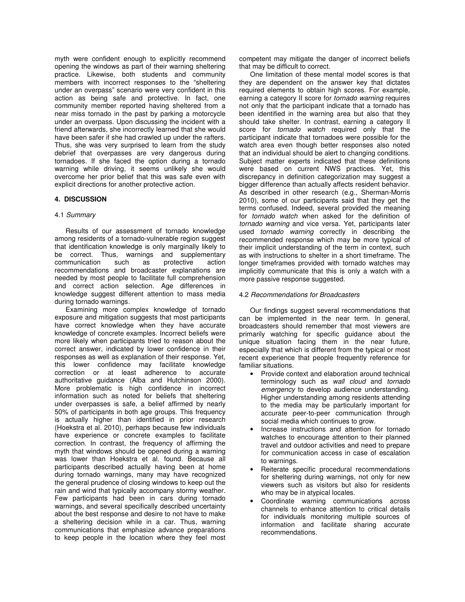myth were confident enough to explicitly recommend opening the windows as part of their warning sheltering practice. Likewise, both students and community members with incorrect responses to the "sheltering under an overpass" scenario were very confident in this action as being safe and protective. In fact, one community member reported having sheltered from a near miss tornado in the past by parking a motorcycle under an overpass. Upon discussing the incident with a friend afterwards, she incorrectly learned that she would have been safer if she had crawled up under the rafters. Thus, she was very surprised to learn from the study debrief that overpasses are very dangerous during tornadoes. If she faced the option during a tornado warning while driving, it seems unlikely she would overcome her prior belief that this was safe even with explicit directions for another protective action.

# **4. DISCUSSION**

## 4.1 *Summary*

Results of our assessment of tornado knowledge among residents of a tornado-vulnerable region suggest that identification knowledge is only marginally likely to be correct. Thus, warnings and supplementary communication such as protective action recommendations and broadcaster explanations are needed by most people to facilitate full comprehension and correct action selection. Age differences in knowledge suggest different attention to mass media during tornado warnings.

Examining more complex knowledge of tornado exposure and mitigation suggests that most participants have correct knowledge when they have accurate knowledge of concrete examples. Incorrect beliefs were more likely when participants tried to reason about the correct answer, indicated by lower confidence in their responses as well as explanation of their response. Yet, this lower confidence may facilitate knowledge correction or at least adherence to accurate authoritative guidance (Alba and Hutchinson 2000). More problematic is high confidence in incorrect information such as noted for beliefs that sheltering under overpasses is safe, a belief affirmed by nearly 50% of participants in both age groups. This frequency is actually higher than identified in prior research (Hoekstra et al. 2010), perhaps because few individuals have experience or concrete examples to facilitate correction. In contrast, the frequency of affirming the myth that windows should be opened during a warning was lower than Hoekstra et al. found. Because all participants described actually having been at home during tornado warnings, many may have recognized the general prudence of closing windows to keep out the rain and wind that typically accompany stormy weather. Few participants had been in cars during tornado warnings, and several specifically described uncertainty about the best response and desire to not have to make a sheltering decision while in a car. Thus, warning communications that emphasize advance preparations to keep people in the location where they feel most competent may mitigate the danger of incorrect beliefs that may be difficult to correct.

One limitation of these mental model scores is that they are dependent on the answer key that dictates required elements to obtain high scores. For example, earning a category II score for *tornado warning* requires not only that the participant indicate that a tornado has been identified in the warning area but also that they should take shelter. In contrast, earning a category II score for *tornado watch* required only that the participant indicate that tornadoes were possible for the watch area even though better responses also noted that an individual should be alert to changing conditions. Subject matter experts indicated that these definitions were based on current NWS practices. Yet, this discrepancy in definition categorization may suggest a bigger difference than actually affects resident behavior. As described in other research (e.g., Sherman-Morris 2010), some of our participants said that they get the terms confused. Indeed, several provided the meaning for *tornado watch* when asked for the definition of *tornado warning* and vice versa. Yet, participants later used *tornado warning* correctly in describing the recommended response which may be more typical of their implicit understanding of the term in context, such as with instructions to shelter in a short timeframe. The longer timeframes provided with tornado watches may implicitly communicate that this is only a watch with a more passive response suggested.

## 4.2 *Recommendations for Broadcasters*

Our findings suggest several recommendations that can be implemented in the near term. In general, broadcasters should remember that most viewers are primarily watching for specific guidance about the unique situation facing them in the near future, especially that which is different from the typical or most recent experience that people frequently reference for familiar situations.

- Provide context and elaboration around technical terminology such as *wall cloud* and *tornado emergency* to develop audience understanding. Higher understanding among residents attending to the media may be particularly important for accurate peer-to-peer communication through social media which continues to grow.
- Increase instructions and attention for tornado watches to encourage attention to their planned travel and outdoor activities and need to prepare for communication access in case of escalation to warnings.
- Reiterate specific procedural recommendations for sheltering during warnings, not only for new viewers such as visitors but also for residents who may be in atypical locales.
- Coordinate warning communications across channels to enhance attention to critical details for individuals monitoring multiple sources of information and facilitate sharing accurate recommendations.